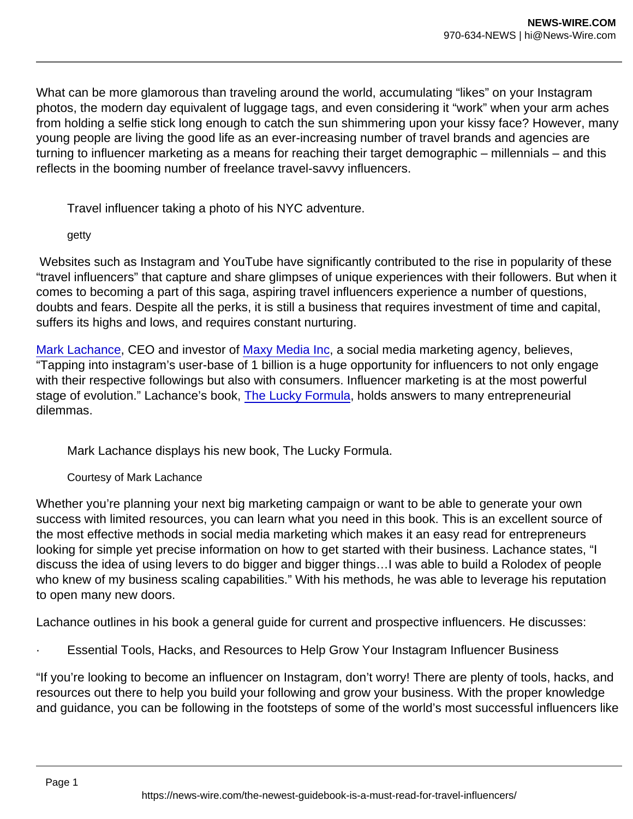What can be more glamorous than traveling around the world, accumulating "likes" on your Instagram photos, the modern day equivalent of luggage tags, and even considering it "work" when your arm aches from holding a selfie stick long enough to catch the sun shimmering upon your kissy face? However, many young people are living the good life as an ever-increasing number of travel brands and agencies are turning to influencer marketing as a means for reaching their target demographic – millennials – and this reflects in the booming number of freelance travel-savvy influencers.

Travel influencer taking a photo of his NYC adventure.

getty

 Websites such as Instagram and YouTube have significantly contributed to the rise in popularity of these "travel influencers" that capture and share glimpses of unique experiences with their followers. But when it comes to becoming a part of this saga, aspiring travel influencers experience a number of questions, doubts and fears. Despite all the perks, it is still a business that requires investment of time and capital, suffers its highs and lows, and requires constant nurturing.

[Mark Lachance](https://marklachance.com/), CEO and investor of [Maxy Media Inc](https://maxy.media/), a social media marketing agency, believes, "Tapping into instagram's user-base of 1 billion is a huge opportunity for influencers to not only engage with their respective followings but also with consumers. Influencer marketing is at the most powerful stage of evolution." Lachance's book, [The Lucky Formula](https://www.amazon.com/Lucky-Formula-Stack-Favor-Success/dp/1636800564), holds answers to many entrepreneurial dilemmas.

Mark Lachance displays his new book, The Lucky Formula.

Courtesy of Mark Lachance

Whether you're planning your next big marketing campaign or want to be able to generate your own success with limited resources, you can learn what you need in this book. This is an excellent source of the most effective methods in social media marketing which makes it an easy read for entrepreneurs looking for simple yet precise information on how to get started with their business. Lachance states, "I discuss the idea of using levers to do bigger and bigger things…I was able to build a Rolodex of people who knew of my business scaling capabilities." With his methods, he was able to leverage his reputation to open many new doors.

Lachance outlines in his book a general guide for current and prospective influencers. He discusses:

Essential Tools, Hacks, and Resources to Help Grow Your Instagram Influencer Business

"If you're looking to become an influencer on Instagram, don't worry! There are plenty of tools, hacks, and resources out there to help you build your following and grow your business. With the proper knowledge and guidance, you can be following in the footsteps of some of the world's most successful influencers like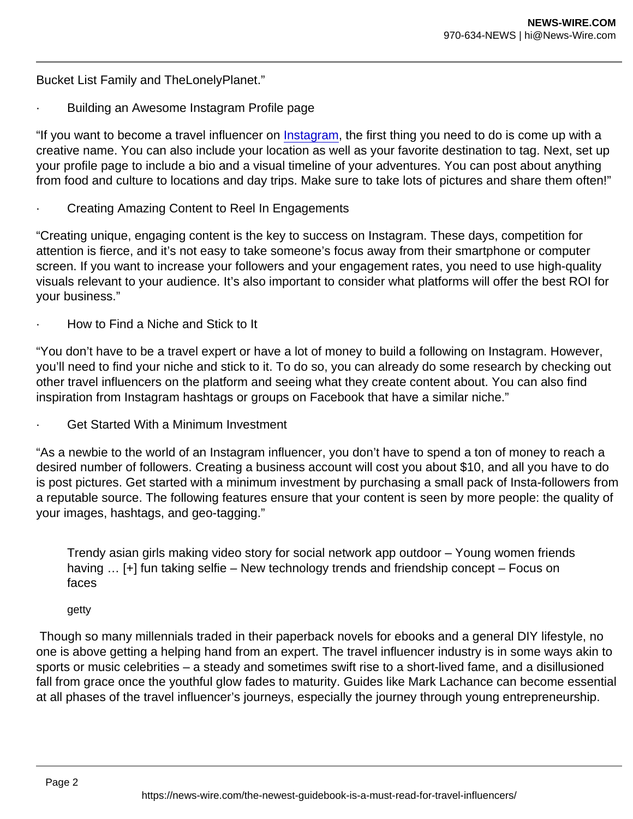Bucket List Family and TheLonelyPlanet."

· Building an Awesome Instagram Profile page

"If you want to become a travel influencer on [Instagram,](https://www.instagram.com/misterluckyofficial/) the first thing you need to do is come up with a creative name. You can also include your location as well as your favorite destination to tag. Next, set up your profile page to include a bio and a visual timeline of your adventures. You can post about anything from food and culture to locations and day trips. Make sure to take lots of pictures and share them often!"

Creating Amazing Content to Reel In Engagements

"Creating unique, engaging content is the key to success on Instagram. These days, competition for attention is fierce, and it's not easy to take someone's focus away from their smartphone or computer screen. If you want to increase your followers and your engagement rates, you need to use high-quality visuals relevant to your audience. It's also important to consider what platforms will offer the best ROI for your business."

· How to Find a Niche and Stick to It

"You don't have to be a travel expert or have a lot of money to build a following on Instagram. However, you'll need to find your niche and stick to it. To do so, you can already do some research by checking out other travel influencers on the platform and seeing what they create content about. You can also find inspiration from Instagram hashtags or groups on Facebook that have a similar niche."

Get Started With a Minimum Investment

"As a newbie to the world of an Instagram influencer, you don't have to spend a ton of money to reach a desired number of followers. Creating a business account will cost you about \$10, and all you have to do is post pictures. Get started with a minimum investment by purchasing a small pack of Insta-followers from a reputable source. The following features ensure that your content is seen by more people: the quality of your images, hashtags, and geo-tagging."

Trendy asian girls making video story for social network app outdoor – Young women friends having ... [+] fun taking selfie – New technology trends and friendship concept – Focus on faces

getty

 Though so many millennials traded in their paperback novels for ebooks and a general DIY lifestyle, no one is above getting a helping hand from an expert. The travel influencer industry is in some ways akin to sports or music celebrities – a steady and sometimes swift rise to a short-lived fame, and a disillusioned fall from grace once the youthful glow fades to maturity. Guides like Mark Lachance can become essential at all phases of the travel influencer's journeys, especially the journey through young entrepreneurship.